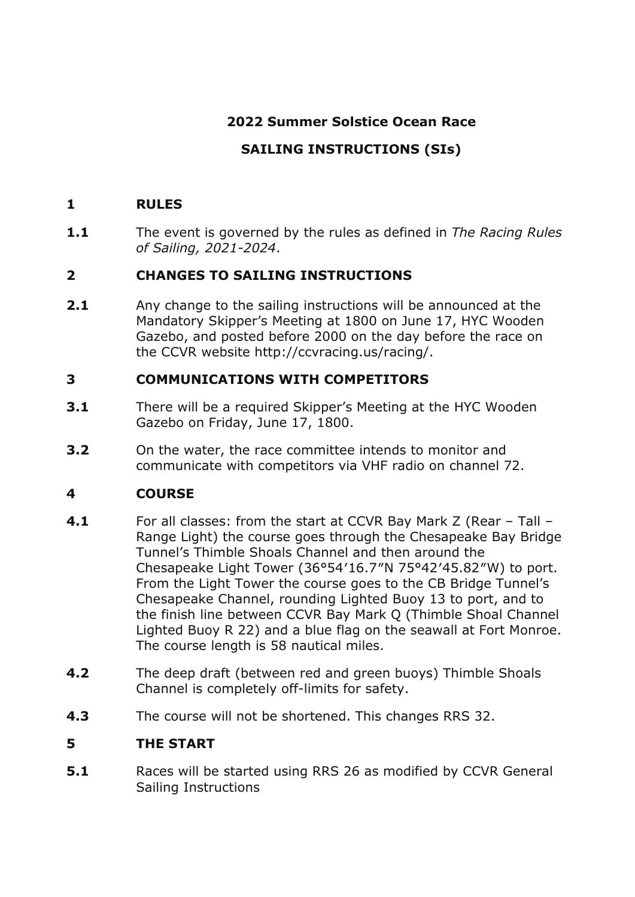## **2022 Summer Solstice Ocean Race**

# **SAILING INSTRUCTIONS (SIs)**

#### **1 RULES**

**1.1** The event is governed by the rules as defined in *The Racing Rules of Sailing, 2021-2024*.

### **2 CHANGES TO SAILING INSTRUCTIONS**

**2.1** Any change to the sailing instructions will be announced at the Mandatory Skipper's Meeting at 1800 on June 17, HYC Wooden Gazebo, and posted before 2000 on the day before the race on the CCVR website http://ccvracing.us/racing/.

#### **3 COMMUNICATIONS WITH COMPETITORS**

- **3.1** There will be a required Skipper's Meeting at the HYC Wooden Gazebo on Friday, June 17, 1800.
- **3.2** On the water, the race committee intends to monitor and communicate with competitors via VHF radio on channel 72.

### **4 COURSE**

- **4.1** For all classes: from the start at CCVR Bay Mark Z (Rear Tall Range Light) the course goes through the Chesapeake Bay Bridge Tunnel's Thimble Shoals Channel and then around the Chesapeake Light Tower (36°54′16.7″N 75°42′45.82″W) to port. From the Light Tower the course goes to the CB Bridge Tunnel's Chesapeake Channel, rounding Lighted Buoy 13 to port, and to the finish line between CCVR Bay Mark Q (Thimble Shoal Channel Lighted Buoy R 22) and a blue flag on the seawall at Fort Monroe. The course length is 58 nautical miles.
- **4.2** The deep draft (between red and green buoys) Thimble Shoals Channel is completely off-limits for safety.
- **4.3** The course will not be shortened. This changes RRS 32.

### **5 THE START**

**5.1** Races will be started using RRS 26 as modified by CCVR General Sailing Instructions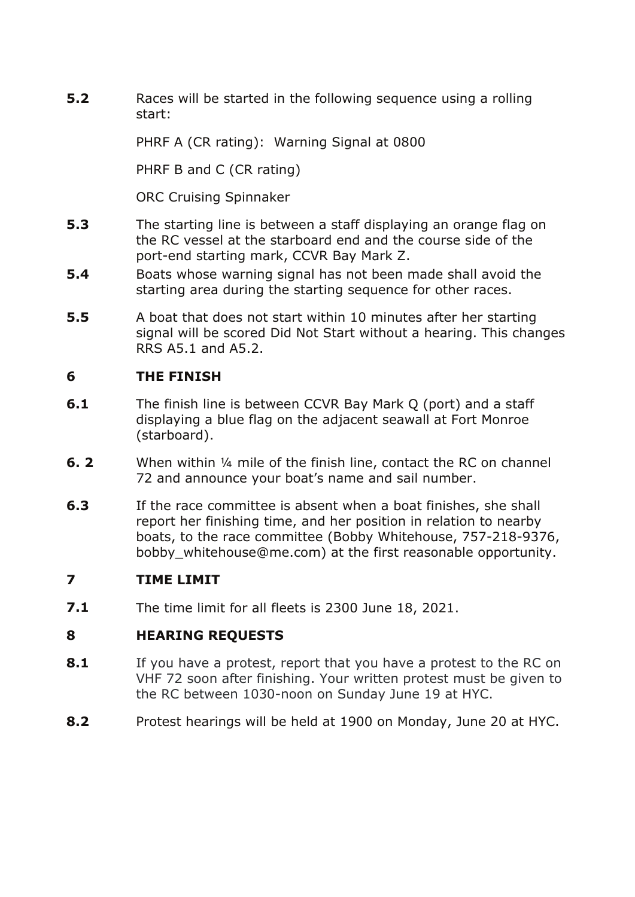**5.2** Races will be started in the following sequence using a rolling start:

PHRF A (CR rating): Warning Signal at 0800

PHRF B and C (CR rating)

ORC Cruising Spinnaker

- **5.3** The starting line is between a staff displaying an orange flag on the RC vessel at the starboard end and the course side of the port-end starting mark, CCVR Bay Mark Z.
- **5.4** Boats whose warning signal has not been made shall avoid the starting area during the starting sequence for other races.
- **5.5** A boat that does not start within 10 minutes after her starting signal will be scored Did Not Start without a hearing. This changes RRS A5.1 and A5.2.

#### **6 THE FINISH**

- **6.1** The finish line is between CCVR Bay Mark Q (port) and a staff displaying a blue flag on the adjacent seawall at Fort Monroe (starboard).
- **6. 2** When within ¼ mile of the finish line, contact the RC on channel 72 and announce your boat's name and sail number.
- **6.3** If the race committee is absent when a boat finishes, she shall report her finishing time, and her position in relation to nearby boats, to the race committee (Bobby Whitehouse, 757-218-9376, bobby whitehouse@me.com) at the first reasonable opportunity.

### **7 TIME LIMIT**

**7.1** The time limit for all fleets is 2300 June 18, 2021.

### **8 HEARING REQUESTS**

- **8.1** If you have a protest, report that you have a protest to the RC on VHF 72 soon after finishing. Your written protest must be given to the RC between 1030-noon on Sunday June 19 at HYC.
- **8.2** Protest hearings will be held at 1900 on Monday, June 20 at HYC.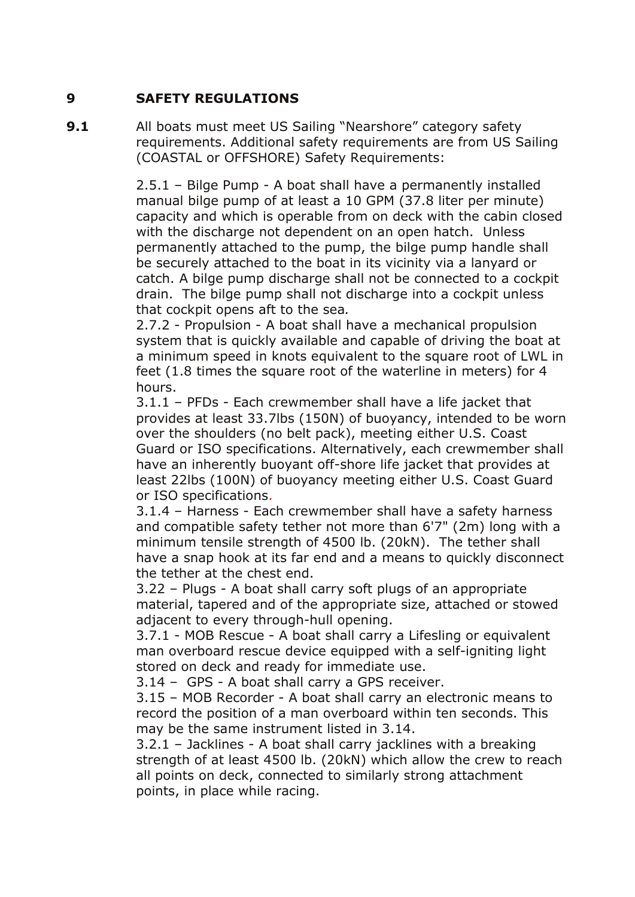#### **9 SAFETY REGULATIONS**

**9.1** All boats must meet US Sailing "Nearshore" category safety requirements. Additional safety requirements are from US Sailing (COASTAL or OFFSHORE) Safety Requirements:

> 2.5.1 – Bilge Pump - A boat shall have a permanently installed manual bilge pump of at least a 10 GPM (37.8 liter per minute) capacity and which is operable from on deck with the cabin closed with the discharge not dependent on an open hatch. Unless permanently attached to the pump, the bilge pump handle shall be securely attached to the boat in its vicinity via a lanyard or catch. A bilge pump discharge shall not be connected to a cockpit drain. The bilge pump shall not discharge into a cockpit unless that cockpit opens aft to the sea*.*

> 2.7.2 - Propulsion - A boat shall have a mechanical propulsion system that is quickly available and capable of driving the boat at a minimum speed in knots equivalent to the square root of LWL in feet (1.8 times the square root of the waterline in meters) for 4 hours.

> 3.1.1 – PFDs - Each crewmember shall have a life jacket that provides at least 33.7lbs (150N) of buoyancy, intended to be worn over the shoulders (no belt pack), meeting either U.S. Coast Guard or ISO specifications. Alternatively, each crewmember shall have an inherently buoyant off-shore life jacket that provides at least 22lbs (100N) of buoyancy meeting either U.S. Coast Guard or ISO specifications.

> 3.1.4 – Harness - Each crewmember shall have a safety harness and compatible safety tether not more than 6'7" (2m) long with a minimum tensile strength of 4500 lb. (20kN). The tether shall have a snap hook at its far end and a means to quickly disconnect the tether at the chest end.

3.22 – Plugs - A boat shall carry soft plugs of an appropriate material, tapered and of the appropriate size, attached or stowed adjacent to every through-hull opening.

3.7.1 - MOB Rescue - A boat shall carry a Lifesling or equivalent man overboard rescue device equipped with a self-igniting light stored on deck and ready for immediate use.

3.14 – GPS - A boat shall carry a GPS receiver.

3.15 – MOB Recorder - A boat shall carry an electronic means to record the position of a man overboard within ten seconds. This may be the same instrument listed in 3.14.

3.2.1 – Jacklines - A boat shall carry jacklines with a breaking strength of at least 4500 lb. (20kN) which allow the crew to reach all points on deck, connected to similarly strong attachment points, in place while racing.